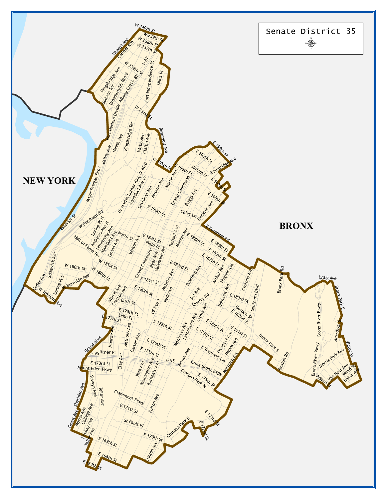